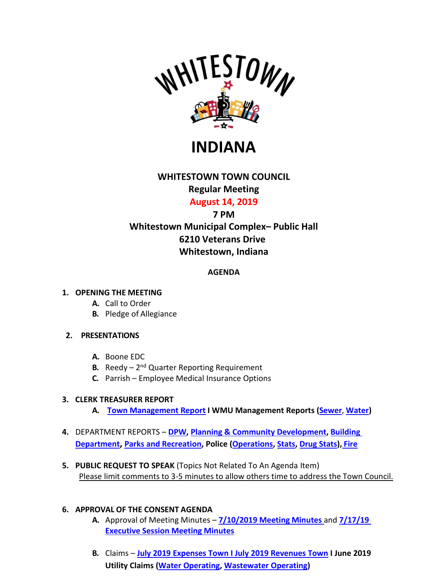

**INDIANA**

# **WHITESTOWN TOWN COUNCIL**

## **Regular Meeting**

# **August 14, 2019**

# **7 PM**

# **Whitestown Municipal Complex– Public Hall 6210 Veterans Drive Whitestown, Indiana**

## **AGENDA**

### **1. OPENING THE MEETING**

- **A.** Call to Order
- **B.** Pledge of Allegiance

### **2. PRESENTATIONS**

- **A.** Boone EDC
- **B.** Reedy  $-2^{nd}$  Quarter Reporting Requirement
- **C.** Parrish Employee Medical Insurance Options

### **3. CLERK TREASURER REPORT**

- **A. [Town Management Report](http://whitestown.in.gov/vertical/sites/%7BB8BE8AC3-9DE8-4247-BCB0-1173F48CC7C3%7D/uploads/2019_Town_of_Whitestown_-_Management_Report_(July).pdf) I WMU Management Reports [\(Sewer](http://whitestown.in.gov/vertical/sites/%7BB8BE8AC3-9DE8-4247-BCB0-1173F48CC7C3%7D/uploads/WMU_Management_Report_-_July_2019_(SEWER).pdf)**, **[Water\)](http://whitestown.in.gov/vertical/sites/%7BB8BE8AC3-9DE8-4247-BCB0-1173F48CC7C3%7D/uploads/WMU_Management_Report_-_July_2019_(WATER).pdf)**
- **4.** DEPARTMENT REPORTS **[DPW,](http://whitestown.in.gov/vertical/sites/%7BB8BE8AC3-9DE8-4247-BCB0-1173F48CC7C3%7D/uploads/July_2019_Street_Dept_Report.pdf) [Planning & Community Development,](http://whitestown.in.gov/vertical/sites/%7BB8BE8AC3-9DE8-4247-BCB0-1173F48CC7C3%7D/uploads/July_2019-_Planning_and_Community_Development_Monthly_Report.pdf) [Building](http://whitestown.in.gov/vertical/sites/%7BB8BE8AC3-9DE8-4247-BCB0-1173F48CC7C3%7D/uploads/July_2019_Building_Dept_Report.pdf)  [Department,](http://whitestown.in.gov/vertical/sites/%7BB8BE8AC3-9DE8-4247-BCB0-1173F48CC7C3%7D/uploads/July_2019_Building_Dept_Report.pdf) [Parks and Recreation,](http://whitestown.in.gov/vertical/sites/%7BB8BE8AC3-9DE8-4247-BCB0-1173F48CC7C3%7D/uploads/July_2019_Parks_Report.pdf) Police [\(Operations,](http://whitestown.in.gov/vertical/sites/%7BB8BE8AC3-9DE8-4247-BCB0-1173F48CC7C3%7D/uploads/Report_to_Council_8.2019.pdf) [Stats,](http://whitestown.in.gov/vertical/sites/%7BB8BE8AC3-9DE8-4247-BCB0-1173F48CC7C3%7D/uploads/ReCvd_-_(WMPD_Statical_Data)(9).pdf) [Drug Stats\)](http://whitestown.in.gov/vertical/sites/%7BB8BE8AC3-9DE8-4247-BCB0-1173F48CC7C3%7D/uploads/ReCvd_-_(wmpd_drug_statics)(9).pdf), [Fire](http://whitestown.in.gov/vertical/sites/%7BB8BE8AC3-9DE8-4247-BCB0-1173F48CC7C3%7D/uploads/WFD_Monthly_Report_-_WTC_AUG19_Mtg.pdf)**
- **5. PUBLIC REQUEST TO SPEAK** (Topics Not Related To An Agenda Item) Please limit comments to 3-5 minutes to allow others time to address the Town Council.

### **6. APPROVAL OF THE CONSENT AGENDA**

- **A.** Approval of Meeting Minutes **[7/10/2019 Meeting](http://whitestown.in.gov/vertical/sites/%7BB8BE8AC3-9DE8-4247-BCB0-1173F48CC7C3%7D/uploads/7-10-19_Whitestown_Town_Council_Regular_Meeting_Minutes.pdf) Minutes** and **[7/17/19](http://whitestown.in.gov/vertical/sites/%7BB8BE8AC3-9DE8-4247-BCB0-1173F48CC7C3%7D/uploads/7-17-19_Executive_Sessino_Meeting_Minutes.pdf)  [Executive Session Meeting Minutes](http://whitestown.in.gov/vertical/sites/%7BB8BE8AC3-9DE8-4247-BCB0-1173F48CC7C3%7D/uploads/7-17-19_Executive_Sessino_Meeting_Minutes.pdf)**
- **B.** Claims **July [2019 Expenses Town I](http://whitestown.in.gov/vertical/sites/%7BB8BE8AC3-9DE8-4247-BCB0-1173F48CC7C3%7D/uploads/July_2019_Disbursements.pdf) July [2019 Revenues Town](http://whitestown.in.gov/vertical/sites/%7BB8BE8AC3-9DE8-4247-BCB0-1173F48CC7C3%7D/uploads/July_2019_Fee_Receipts.pdf) I June 2019 Utility Claims [\(Water Operating,](http://whitestown.in.gov/vertical/sites/%7BB8BE8AC3-9DE8-4247-BCB0-1173F48CC7C3%7D/uploads/Water_Operating_Claims_Docket_08.14.19.pdf) [Wastewater](http://whitestown.in.gov/vertical/sites/%7BB8BE8AC3-9DE8-4247-BCB0-1173F48CC7C3%7D/uploads/Sewer_Operating_Claims_Docket_08.14.19.pdf) Operating)**